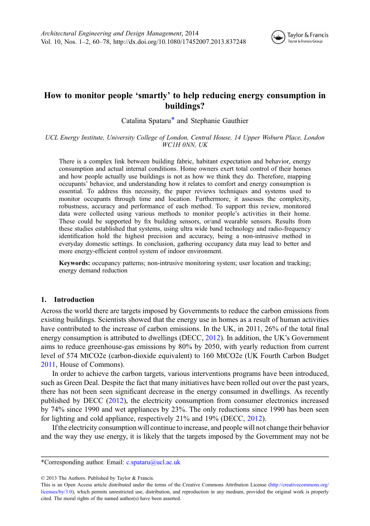

# How to monitor people 'smartly' to help reducing energy consumption in buildings?

Catalina Spataru\* and Stephanie Gauthier

UCL Energy Institute, University College of London, Central House, 14 Upper Woburn Place, London WC1H 0NN, UK

There is a complex link between building fabric, habitant expectation and behavior, energy consumption and actual internal conditions. Home owners exert total control of their homes and how people actually use buildings is not as how we think they do. Therefore, mapping occupants' behavior, and understanding how it relates to comfort and energy consumption is essential. To address this necessity, the paper reviews techniques and systems used to monitor occupants through time and location. Furthermore, it assesses the complexity, robustness, accuracy and performance of each method. To support this review, monitored data were collected using various methods to monitor people's activities in their home. These could be supported by fix building sensors, or/and wearable sensors. Results from these studies established that systems, using ultra wide band technology and radio-frequency identification hold the highest precision and accuracy, being a non-intrusive method in everyday domestic settings. In conclusion, gathering occupancy data may lead to better and more energy-efficient control system of indoor environment.

Keywords: occupancy patterns; non-intrusive monitoring system; user location and tracking; energy demand reduction

## 1. Introduction

Across the world there are targets imposed by Governments to reduce the carbon emissions from existing buildings. Scientists showed that the energy use in homes as a result of human activities have contributed to the increase of carbon emissions. In the UK, in 2011, 26% of the total final energy consumption is attributed to dwellings (DECC, [2012](#page-15-0)). In addition, the UK's Government aims to reduce greenhouse-gas emissions by 80% by 2050, with yearly reduction from current level of 574 MtCO2e (carbon-dioxide equivalent) to 160 MtCO2e (UK Fourth Carbon Budget [2011](#page-16-0), House of Commons).

In order to achieve the carbon targets, various interventions programs have been introduced, such as Green Deal. Despite the fact that many initiatives have been rolled out over the past years, there has not been seen significant decrease in the energy consumed in dwellings. As recently published by DECC ([2012\)](#page-15-0), the electricity consumption from consumer electronics increased by 74% since 1990 and wet appliances by 23%. The only reductions since 1990 has been seen for lighting and cold appliance, respectively 21% and 19% (DECC, [2012\)](#page-15-0).

If the electricity consumption will continue to increase, and people will not change their behavior and the way they use energy, it is likely that the targets imposed by the Government may not be

\*Corresponding author. Email: [c.spataru@ucl.ac.uk](mailto:c.spataru@ucl.ac.uk)

© 2013 The Authors. Published by Taylor & Francis.

This is an Open Access article distributed under the terms of the Creative Commons Attribution License [\(http://creativecommons.org/](http://creativecommons.org/licenses/by/3.0) [licenses/by/3.0](http://creativecommons.org/licenses/by/3.0)), which permits unrestricted use, distribution, and reproduction in any medium, provided the original work is properly cited. The moral rights of the named author(s) have been asserted.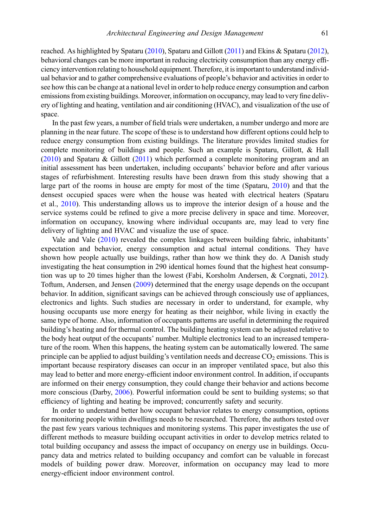reached. As highlighted by Spataru [\(2010](#page-16-0)), Spataru and Gillott ([2011](#page-16-0)) and Ekins & Spataru [\(2012\)](#page-15-0), behavioral changes can be more important in reducing electricity consumption than any energy efficiency intervention relating to household equipment. Therefore, it is important to understand individual behavior and to gather comprehensive evaluations of people's behavior and activities in order to see how this can be change at a national level in order to help reduce energy consumption and carbon emissions from existing buildings. Moreover, information on occupancy, may lead to very fine delivery of lighting and heating, ventilation and air conditioning (HVAC), and visualization of the use of space.

In the past few years, a number of field trials were undertaken, a number undergo and more are planning in the near future. The scope of these is to understand how different options could help to reduce energy consumption from existing buildings. The literature provides limited studies for complete monitoring of buildings and people. Such an example is Spataru, Gillott, & Hall ([2010\)](#page-16-0) and Spataru & Gillott ([2011\)](#page-16-0) which performed a complete monitoring program and an initial assessment has been undertaken, including occupants' behavior before and after various stages of refurbishment. Interesting results have been drawn from this study showing that a large part of the rooms in house are empty for most of the time (Spataru, [2010\)](#page-16-0) and that the densest occupied spaces were when the house was heated with electrical heaters (Spataru et al., [2010](#page-16-0)). This understanding allows us to improve the interior design of a house and the service systems could be refined to give a more precise delivery in space and time. Moreover, information on occupancy, knowing where individual occupants are, may lead to very fine delivery of lighting and HVAC and visualize the use of space.

Vale and Vale ([2010\)](#page-16-0) revealed the complex linkages between building fabric, inhabitants' expectation and behavior, energy consumption and actual internal conditions. They have shown how people actually use buildings, rather than how we think they do. A Danish study investigating the heat consumption in 290 identical homes found that the highest heat consumption was up to 20 times higher than the lowest (Fabi, Korsholm Andersen, & Corgnati, [2012\)](#page-15-0). Toftum, Andersen, and Jensen [\(2009](#page-16-0)) determined that the energy usage depends on the occupant behavior. In addition, significant savings can be achieved through consciously use of appliances, electronics and lights. Such studies are necessary in order to understand, for example, why housing occupants use more energy for heating as their neighbor, while living in exactly the same type of home. Also, information of occupants patterns are useful in determining the required building's heating and for thermal control. The building heating system can be adjusted relative to the body heat output of the occupants' number. Multiple electronics lead to an increased temperature of the room. When this happens, the heating system can be automatically lowered. The same principle can be applied to adjust building's ventilation needs and decrease  $CO<sub>2</sub>$  emissions. This is important because respiratory diseases can occur in an improper ventilated space, but also this may lead to better and more energy-efficient indoor environment control. In addition, if occupants are informed on their energy consumption, they could change their behavior and actions become more conscious (Darby, [2006](#page-15-0)). Powerful information could be sent to building systems; so that efficiency of lighting and heating be improved; concurrently safety and security.

In order to understand better how occupant behavior relates to energy consumption, options for monitoring people within dwellings needs to be researched. Therefore, the authors tested over the past few years various techniques and monitoring systems. This paper investigates the use of different methods to measure building occupant activities in order to develop metrics related to total building occupancy and assess the impact of occupancy on energy use in buildings. Occupancy data and metrics related to building occupancy and comfort can be valuable in forecast models of building power draw. Moreover, information on occupancy may lead to more energy-efficient indoor environment control.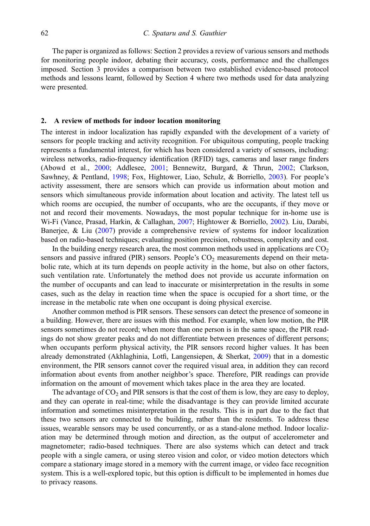The paper is organized as follows: Section 2 provides a review of various sensors and methods for monitoring people indoor, debating their accuracy, costs, performance and the challenges imposed. Section 3 provides a comparison between two established evidence-based protocol methods and lessons learnt, followed by Section 4 where two methods used for data analyzing were presented.

#### 2. A review of methods for indoor location monitoring

The interest in indoor localization has rapidly expanded with the development of a variety of sensors for people tracking and activity recognition. For ubiquitous computing, people tracking represents a fundamental interest, for which has been considered a variety of sensors, including: wireless networks, radio-frequency identification (RFID) tags, cameras and laser range finders (Abowd et al., [2000](#page-15-0); Addlesee, [2001](#page-15-0); Bennewitz, Burgard, & Thrun, [2002](#page-15-0); Clarkson, Sawhney, & Pentland, [1998;](#page-15-0) Fox, Hightower, Liao, Schulz, & Borriello, [2003](#page-15-0)). For people's activity assessment, there are sensors which can provide us information about motion and sensors which simultaneous provide information about location and activity. The latest tell us which rooms are occupied, the number of occupants, who are the occupants, if they move or not and record their movements. Nowadays, the most popular technique for in-home use is Wi-Fi (Vance, Prasad, Harkin, & Callaghan, [2007;](#page-16-0) Hightower & Borriello, [2002\)](#page-15-0). Liu, Darabi, Banerjee, & Liu [\(2007](#page-16-0)) provide a comprehensive review of systems for indoor localization based on radio-based techniques; evaluating position precision, robustness, complexity and cost.

In the building energy research area, the most common methods used in applications are  $CO<sub>2</sub>$ sensors and passive infrared (PIR) sensors. People's  $CO<sub>2</sub>$  measurements depend on their metabolic rate, which at its turn depends on people activity in the home, but also on other factors, such ventilation rate. Unfortunately the method does not provide us accurate information on the number of occupants and can lead to inaccurate or misinterpretation in the results in some cases, such as the delay in reaction time when the space is occupied for a short time, or the increase in the metabolic rate when one occupant is doing physical exercise.

Another common method is PIR sensors. These sensors can detect the presence of someone in a building. However, there are issues with this method. For example, when low motion, the PIR sensors sometimes do not record; when more than one person is in the same space, the PIR readings do not show greater peaks and do not differentiate between presences of different persons; when occupants perform physical activity, the PIR sensors record higher values. It has been already demonstrated (Akhlaghinia, Lotfi, Langensiepen, & Sherkat, [2009\)](#page-15-0) that in a domestic environment, the PIR sensors cannot cover the required visual area, in addition they can record information about events from another neighbor's space. Therefore, PIR readings can provide information on the amount of movement which takes place in the area they are located.

The advantage of  $CO<sub>2</sub>$  and PIR sensors is that the cost of them is low, they are easy to deploy, and they can operate in real-time; while the disadvantage is they can provide limited accurate information and sometimes misinterpretation in the results. This is in part due to the fact that these two sensors are connected to the building, rather than the residents. To address these issues, wearable sensors may be used concurrently, or as a stand-alone method. Indoor localization may be determined through motion and direction, as the output of accelerometer and magnetometer; radio-based techniques. There are also systems which can detect and track people with a single camera, or using stereo vision and color, or video motion detectors which compare a stationary image stored in a memory with the current image, or video face recognition system. This is a well-explored topic, but this option is difficult to be implemented in homes due to privacy reasons.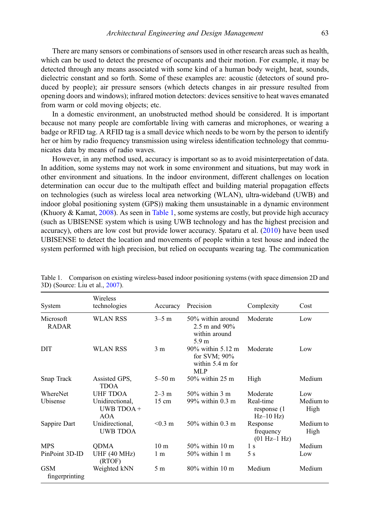There are many sensors or combinations of sensors used in other research areas such as health, which can be used to detect the presence of occupants and their motion. For example, it may be detected through any means associated with some kind of a human body weight, heat, sounds, dielectric constant and so forth. Some of these examples are: acoustic (detectors of sound produced by people); air pressure sensors (which detects changes in air pressure resulted from opening doors and windows); infrared motion detectors: devices sensitive to heat waves emanated from warm or cold moving objects; etc.

In a domestic environment, an unobstructed method should be considered. It is important because not many people are comfortable living with cameras and microphones, or wearing a badge or RFID tag. A RFID tag is a small device which needs to be worn by the person to identify her or him by radio frequency transmission using wireless identification technology that communicates data by means of radio waves.

However, in any method used, accuracy is important so as to avoid misinterpretation of data. In addition, some systems may not work in some environment and situations, but may work in other environment and situations. In the indoor environment, different challenges on location determination can occur due to the multipath effect and building material propagation effects on technologies (such as wireless local area networking (WLAN), ultra-wideband (UWB) and indoor global positioning system (GPS)) making them unsustainable in a dynamic environment (Khuory & Kamat, [2008\)](#page-16-0). As seen in Table 1, some systems are costly, but provide high accuracy (such as UBISENSE system which is using UWB technology and has the highest precision and accuracy), others are low cost but provide lower accuracy. Spataru et al. ([2010\)](#page-16-0) have been used UBISENSE to detect the location and movements of people within a test house and indeed the system performed with high precision, but relied on occupants wearing tag. The communication

| System                       | Wireless<br>technologies                      | Accuracy        | Precision                                                                    | Complexity                                | Cost              |
|------------------------------|-----------------------------------------------|-----------------|------------------------------------------------------------------------------|-------------------------------------------|-------------------|
| Microsoft<br><b>RADAR</b>    | WLAN RSS                                      | $3 - 5$ m       | 50% within around<br>2.5 m and $90\%$<br>within around<br>5.9 <sub>m</sub>   | Moderate                                  | Low               |
| <b>DIT</b>                   | WLAN RSS                                      | 3 <sub>m</sub>  | $90\%$ within 5.12 m<br>for SVM; $90\%$<br>within $5.4 \text{ m}$ for<br>MLP | Moderate                                  | Low               |
| Snap Track                   | Assisted GPS,<br><b>TDOA</b>                  | $5 - 50$ m      | $50\%$ within 25 m                                                           | High                                      | Medium            |
| WhereNet                     | <b>UHF TDOA</b>                               | $2 - 3$ m       | $50\%$ within 3 m                                                            | Moderate                                  | Low               |
| Ubisense                     | Unidirectional,<br>UWB $TDOA +$<br><b>AOA</b> | $15 \text{ cm}$ | $99\%$ within 0.3 m                                                          | Real-time<br>response (1)<br>$Hz-10 Hz$   | Medium to<br>High |
| Sappire Dart                 | Unidirectional,<br>UWB TDOA                   | $< 0.3$ m       | $50\%$ within 0.3 m                                                          | Response<br>frequency<br>$(01 Hz - 1 Hz)$ | Medium to<br>High |
| <b>MPS</b>                   | ODMA                                          | 10 <sub>m</sub> | $50\%$ within 10 m                                                           | 1 <sub>s</sub>                            | Medium            |
| PinPoint 3D-ID               | UHF (40 MHz)<br>(RTOF)                        | 1 <sub>m</sub>  | $50\%$ within 1 m                                                            | 5 s                                       | Low               |
| <b>GSM</b><br>fingerprinting | Weighted kNN                                  | 5 <sub>m</sub>  | $80\%$ within 10 m                                                           | Medium                                    | Medium            |

Table 1. Comparison on existing wireless-based indoor positioning systems (with space dimension 2D and 3D) (Source: Liu et al., [2007\)](#page-16-0).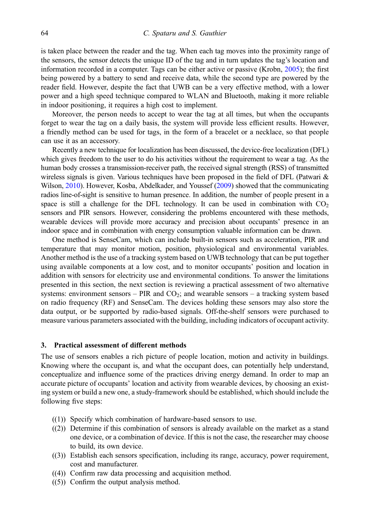is taken place between the reader and the tag. When each tag moves into the proximity range of the sensors, the sensor detects the unique ID of the tag and in turn updates the tag's location and information recorded in a computer. Tags can be either active or passive (Krobn, [2005\)](#page-16-0); the first being powered by a battery to send and receive data, while the second type are powered by the reader field. However, despite the fact that UWB can be a very effective method, with a lower power and a high speed technique compared to WLAN and Bluetooth, making it more reliable in indoor positioning, it requires a high cost to implement.

Moreover, the person needs to accept to wear the tag at all times, but when the occupants forget to wear the tag on a daily basis, the system will provide less efficient results. However, a friendly method can be used for tags, in the form of a bracelet or a necklace, so that people can use it as an accessory.

Recently a new technique for localization has been discussed, the device-free localization (DFL) which gives freedom to the user to do his activities without the requirement to wear a tag. As the human body crosses a transmission-receiver path, the received signal strength (RSS) of transmitted wireless signals is given. Various techniques have been proposed in the field of DFL (Patwari  $\&$ Wilson, [2010](#page-16-0)). However, Kosba, Abdelkader, and Youssef ([2009](#page-16-0)) showed that the communicating radios line-of-sight is sensitive to human presence. In addition, the number of people present in a space is still a challenge for the DFL technology. It can be used in combination with  $CO<sub>2</sub>$ sensors and PIR sensors. However, considering the problems encountered with these methods, wearable devices will provide more accuracy and precision about occupants' presence in an indoor space and in combination with energy consumption valuable information can be drawn.

One method is SenseCam, which can include built-in sensors such as acceleration, PIR and temperature that may monitor motion, position, physiological and environmental variables. Another method is the use of a tracking system based on UWB technology that can be put together using available components at a low cost, and to monitor occupants' position and location in addition with sensors for electricity use and environmental conditions. To answer the limitations presented in this section, the next section is reviewing a practical assessment of two alternative systems: environment sensors – PIR and  $CO<sub>2</sub>$ ; and wearable sensors – a tracking system based on radio frequency (RF) and SenseCam. The devices holding these sensors may also store the data output, or be supported by radio-based signals. Off-the-shelf sensors were purchased to measure various parameters associated with the building, including indicators of occupant activity.

#### 3. Practical assessment of different methods

The use of sensors enables a rich picture of people location, motion and activity in buildings. Knowing where the occupant is, and what the occupant does, can potentially help understand, conceptualize and influence some of the practices driving energy demand. In order to map an accurate picture of occupants' location and activity from wearable devices, by choosing an existing system or build a new one, a study-framework should be established, which should include the following five steps:

- ((1)) Specify which combination of hardware-based sensors to use.
- ((2)) Determine if this combination of sensors is already available on the market as a stand one device, or a combination of device. If this is not the case, the researcher may choose to build, its own device.
- ((3)) Establish each sensors specification, including its range, accuracy, power requirement, cost and manufacturer.
- ((4)) Confirm raw data processing and acquisition method.
- $((5))$  Confirm the output analysis method.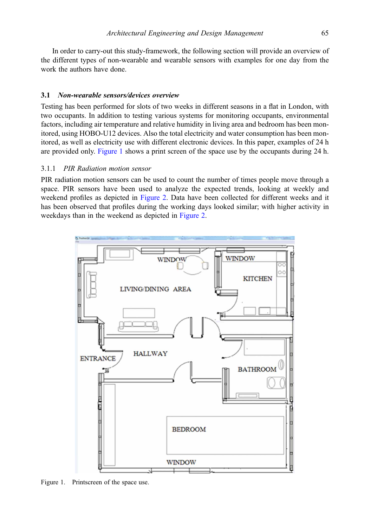In order to carry-out this study-framework, the following section will provide an overview of the different types of non-wearable and wearable sensors with examples for one day from the work the authors have done.

#### 3.1 Non-wearable sensors/devices overview

Testing has been performed for slots of two weeks in different seasons in a flat in London, with two occupants. In addition to testing various systems for monitoring occupants, environmental factors, including air temperature and relative humidity in living area and bedroom has been monitored, using HOBO-U12 devices. Also the total electricity and water consumption has been monitored, as well as electricity use with different electronic devices. In this paper, examples of 24 h are provided only. Figure 1 shows a print screen of the space use by the occupants during 24 h.

#### 3.1.1 PIR Radiation motion sensor

PIR radiation motion sensors can be used to count the number of times people move through a space. PIR sensors have been used to analyze the expected trends, looking at weekly and weekend profiles as depicted in [Figure 2.](#page-6-0) Data have been collected for different weeks and it has been observed that profiles during the working days looked similar; with higher activity in weekdays than in the weekend as depicted in [Figure 2](#page-6-0).



Figure 1. Printscreen of the space use.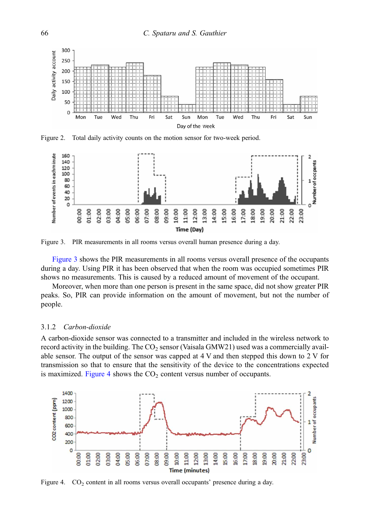<span id="page-6-0"></span>

Figure 2. Total daily activity counts on the motion sensor for two-week period.



Figure 3. PIR measurements in all rooms versus overall human presence during a day.

Figure 3 shows the PIR measurements in all rooms versus overall presence of the occupants during a day. Using PIR it has been observed that when the room was occupied sometimes PIR shows no measurements. This is caused by a reduced amount of movement of the occupant.

Moreover, when more than one person is present in the same space, did not show greater PIR peaks. So, PIR can provide information on the amount of movement, but not the number of people.

## 3.1.2 Carbon-dioxide

A carbon-dioxide sensor was connected to a transmitter and included in the wireless network to record activity in the building. The  $CO<sub>2</sub>$  sensor (Vaisala GMW21) used was a commercially available sensor. The output of the sensor was capped at 4 V and then stepped this down to 2 V for transmission so that to ensure that the sensitivity of the device to the concentrations expected is maximized. Figure 4 shows the  $CO<sub>2</sub>$  content versus number of occupants.



Figure 4. CO<sub>2</sub> content in all rooms versus overall occupants' presence during a day.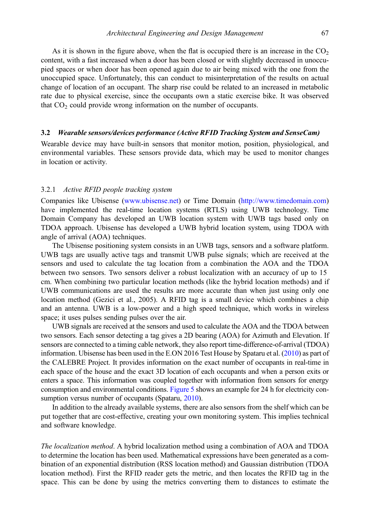As it is shown in the figure above, when the flat is occupied there is an increase in the  $CO<sub>2</sub>$ content, with a fast increased when a door has been closed or with slightly decreased in unoccupied spaces or when door has been opened again due to air being mixed with the one from the unoccupied space. Unfortunately, this can conduct to misinterpretation of the results on actual change of location of an occupant. The sharp rise could be related to an increased in metabolic rate due to physical exercise, since the occupants own a static exercise bike. It was observed that  $CO<sub>2</sub>$  could provide wrong information on the number of occupants.

#### 3.2 Wearable sensors/devices performance (Active RFID Tracking System and SenseCam)

Wearable device may have built-in sensors that monitor motion, position, physiological, and environmental variables. These sensors provide data, which may be used to monitor changes in location or activity.

## 3.2.1 Active RFID people tracking system

Companies like Ubisense (<www.ubisense.net>) or Time Domain [\(http://www.timedomain.com](http://www.timedomain.com)) have implemented the real-time location systems (RTLS) using UWB technology. Time Domain Company has developed an UWB location system with UWB tags based only on TDOA approach. Ubisense has developed a UWB hybrid location system, using TDOA with angle of arrival (AOA) techniques.

The Ubisense positioning system consists in an UWB tags, sensors and a software platform. UWB tags are usually active tags and transmit UWB pulse signals; which are received at the sensors and used to calculate the tag location from a combination the AOA and the TDOA between two sensors. Two sensors deliver a robust localization with an accuracy of up to 15 cm. When combining two particular location methods (like the hybrid location methods) and if UWB communications are used the results are more accurate than when just using only one location method (Gezici et al., 2005). A RFID tag is a small device which combines a chip and an antenna. UWB is a low-power and a high speed technique, which works in wireless space; it uses pulses sending pulses over the air.

UWB signals are received at the sensors and used to calculate the AOA and the TDOA between two sensors. Each sensor detecting a tag gives a 2D bearing (AOA) for Azimuth and Elevation. If sensors are connected to a timing cable network, they also report time-difference-of-arrival (TDOA) information. Ubisense has been used in the E.ON 2016 Test House by Spataru et al. ([2010](#page-16-0)) as part of the CALEBRE Project. It provides information on the exact number of occupants in real-time in each space of the house and the exact 3D location of each occupants and when a person exits or enters a space. This information was coupled together with information from sensors for energy consumption and environmental conditions. [Figure 5](#page-8-0) shows an example for 24 h for electricity consumption versus number of occupants (Spataru, [2010\)](#page-16-0).

In addition to the already available systems, there are also sensors from the shelf which can be put together that are cost-effective, creating your own monitoring system. This implies technical and software knowledge.

The localization method. A hybrid localization method using a combination of AOA and TDOA to determine the location has been used. Mathematical expressions have been generated as a combination of an exponential distribution (RSS location method) and Gaussian distribution (TDOA location method). First the RFID reader gets the metric, and then locates the RFID tag in the space. This can be done by using the metrics converting them to distances to estimate the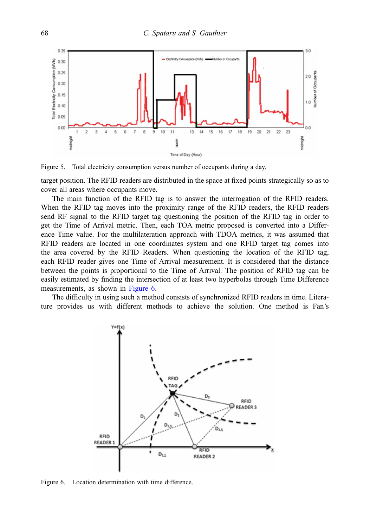<span id="page-8-0"></span>

Figure 5. Total electricity consumption versus number of occupants during a day.

target position. The RFID readers are distributed in the space at fixed points strategically so as to cover all areas where occupants move.

The main function of the RFID tag is to answer the interrogation of the RFID readers. When the RFID tag moves into the proximity range of the RFID readers, the RFID readers send RF signal to the RFID target tag questioning the position of the RFID tag in order to get the Time of Arrival metric. Then, each TOA metric proposed is converted into a Difference Time value. For the multilateration approach with TDOA metrics, it was assumed that RFID readers are located in one coordinates system and one RFID target tag comes into the area covered by the RFID Readers. When questioning the location of the RFID tag, each RFID reader gives one Time of Arrival measurement. It is considered that the distance between the points is proportional to the Time of Arrival. The position of RFID tag can be easily estimated by finding the intersection of at least two hyperbolas through Time Difference measurements, as shown in Figure 6.

The difficulty in using such a method consists of synchronized RFID readers in time. Literature provides us with different methods to achieve the solution. One method is Fan's



Figure 6. Location determination with time difference.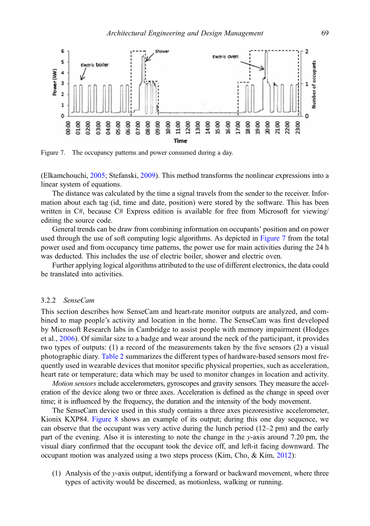

Figure 7. The occupancy patterns and power consumed during a day.

(Elkamchouchi, [2005](#page-15-0); Stefanski, [2009](#page-16-0)). This method transforms the nonlinear expressions into a linear system of equations.

The distance was calculated by the time a signal travels from the sender to the receiver. Information about each tag (id, time and date, position) were stored by the software. This has been written in  $C#$ , because  $C#$  Express edition is available for free from Microsoft for viewing/ editing the source code.

General trends can be draw from combining information on occupants' position and on power used through the use of soft computing logic algorithms. As depicted in Figure 7 from the total power used and from occupancy time patterns, the power use for main activities during the 24 h was deducted. This includes the use of electric boiler, shower and electric oven.

Further applying logical algorithms attributed to the use of different electronics, the data could be translated into activities.

#### 3.2.2 SenseCam

This section describes how SenseCam and heart-rate monitor outputs are analyzed, and combined to map people's activity and location in the home. The SenseCam was first developed by Microsoft Research labs in Cambridge to assist people with memory impairment (Hodges et al., [2006\)](#page-15-0). Of similar size to a badge and wear around the neck of the participant, it provides two types of outputs: (1) a record of the measurements taken by the five sensors (2) a visual photographic diary. [Table 2](#page-10-0) summarizes the different types of hardware-based sensors most frequently used in wearable devices that monitor specific physical properties, such as acceleration, heart rate or temperature; data which may be used to monitor changes in location and activity.

Motion sensors include accelerometers, gyroscopes and gravity sensors. They measure the acceleration of the device along two or three axes. Acceleration is defined as the change in speed over time; it is influenced by the frequency, the duration and the intensity of the body movement.

The SenseCam device used in this study contains a three axes piezoresistive accelerometer, Kionix KXP84. [Figure 8](#page-10-0) shows an example of its output; during this one day sequence, we can observe that the occupant was very active during the lunch period (12–2 pm) and the early part of the evening. Also it is interesting to note the change in the y-axis around 7.20 pm, the visual diary confirmed that the occupant took the device off, and left-it facing downward. The occupant motion was analyzed using a two steps process (Kim, Cho, & Kim, [2012](#page-16-0)):

(1) Analysis of the y-axis output, identifying a forward or backward movement, where three types of activity would be discerned, as motionless, walking or running.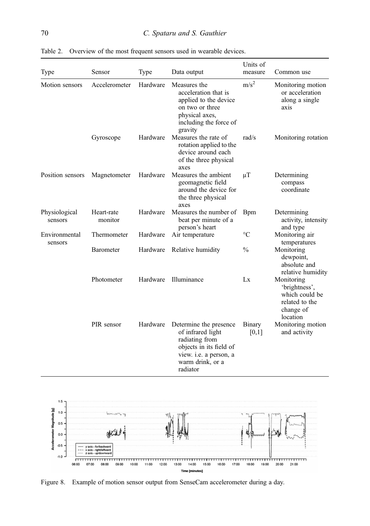| Type                     | Sensor                | Type     | Data output                                                                                                                                               | Units of<br>measure | Common use                                                                               |
|--------------------------|-----------------------|----------|-----------------------------------------------------------------------------------------------------------------------------------------------------------|---------------------|------------------------------------------------------------------------------------------|
| Motion sensors           | Accelerometer         | Hardware | Measures the<br>acceleration that is<br>applied to the device<br>on two or three<br>physical axes,<br>including the force of<br>gravity                   | m/s <sup>2</sup>    | Monitoring motion<br>or acceleration<br>along a single<br>axis                           |
|                          | Gyroscope             | Hardware | Measures the rate of<br>rotation applied to the<br>device around each<br>of the three physical<br>axes                                                    | rad/s               | Monitoring rotation                                                                      |
| Position sensors         | Magnetometer          | Hardware | Measures the ambient<br>geomagnetic field<br>around the device for<br>the three physical<br>axes                                                          | $\mu$ T             | Determining<br>compass<br>coordinate                                                     |
| Physiological<br>sensors | Heart-rate<br>monitor | Hardware | Measures the number of<br>beat per minute of a<br>person's heart                                                                                          | <b>B</b> pm         | Determining<br>activity, intensity<br>and type                                           |
| Environmental<br>sensors | Thermometer           | Hardware | Air temperature                                                                                                                                           | $\rm ^{\circ}C$     | Monitoring air<br>temperatures                                                           |
|                          | Barometer             | Hardware | Relative humidity                                                                                                                                         | $\frac{0}{0}$       | Monitoring<br>dewpoint,<br>absolute and<br>relative humidity                             |
|                          | Photometer            | Hardware | Illuminance                                                                                                                                               | Lx                  | Monitoring<br>'brightness',<br>which could be<br>related to the<br>change of<br>location |
|                          | PIR sensor            | Hardware | Determine the presence<br>of infrared light<br>radiating from<br>objects in its field of<br>view. <i>i.e.</i> a person, a<br>warm drink, or a<br>radiator | Binary<br>[0,1]     | Monitoring motion<br>and activity                                                        |

<span id="page-10-0"></span>Table 2. Overview of the most frequent sensors used in wearable devices.



Figure 8. Example of motion sensor output from SenseCam accelerometer during a day.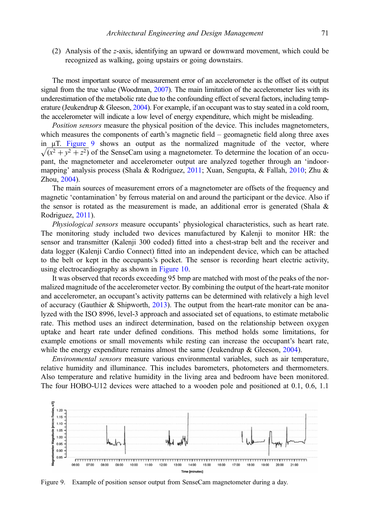(2) Analysis of the z-axis, identifying an upward or downward movement, which could be recognized as walking, going upstairs or going downstairs.

The most important source of measurement error of an accelerometer is the offset of its output signal from the true value (Woodman, [2007\)](#page-16-0). The main limitation of the accelerometer lies with its underestimation of the metabolic rate due to the confounding effect of several factors, including temperature (Jeukendrup & Gleeson, [2004\)](#page-16-0). For example, if an occupant was to stay seated in a cold room, the accelerometer will indicate a low level of energy expenditure, which might be misleading.

Position sensors measure the physical position of the device. This includes magnetometers, which measures the components of earth's magnetic field – geomagnetic field along three axes in  $\mu$ T. Figure 9 shows an output as the normalized magnitude of the vector, where  $\sqrt{(x^2 + y^2 + z^2)}$  of the SenseCam using a magnetometer. To determine the location of an occupant, the magnetometer and accelerometer output are analyzed together through an 'indoormapping' analysis process (Shala & Rodriguez, [2011](#page-16-0); Xuan, Sengupta, & Fallah, [2010;](#page-16-0) Zhu & Zhou, [2004](#page-16-0)).

The main sources of measurement errors of a magnetometer are offsets of the frequency and magnetic 'contamination' by ferrous material on and around the participant or the device. Also if the sensor is rotated as the measurement is made, an additional error is generated (Shala  $\&$ Rodriguez, [2011](#page-16-0)).

Physiological sensors measure occupants' physiological characteristics, such as heart rate. The monitoring study included two devices manufactured by Kalenji to monitor HR: the sensor and transmitter (Kalenji 300 coded) fitted into a chest-strap belt and the receiver and data logger (Kalenji Cardio Connect) fitted into an independent device, which can be attached to the belt or kept in the occupants's pocket. The sensor is recording heart electric activity, using electrocardiography as shown in [Figure 10](#page-12-0).

It was observed that records exceeding 95 bmp are matched with most of the peaks of the normalized magnitude of the accelerometer vector. By combining the output of the heart-rate monitor and accelerometer, an occupant's activity patterns can be determined with relatively a high level of accuracy (Gauthier & Shipworth, [2013](#page-15-0)). The output from the heart-rate monitor can be analyzed with the ISO 8996, level-3 approach and associated set of equations, to estimate metabolic rate. This method uses an indirect determination, based on the relationship between oxygen uptake and heart rate under defined conditions. This method holds some limitations, for example emotions or small movements while resting can increase the occupant's heart rate, while the energy expenditure remains almost the same (Jeukendrup  $\&$  Gleeson, [2004](#page-16-0)).

Environmental sensors measure various environmental variables, such as air temperature, relative humidity and illuminance. This includes barometers, photometers and thermometers. Also temperature and relative humidity in the living area and bedroom have been monitored. The four HOBO-U12 devices were attached to a wooden pole and positioned at 0.1, 0.6, 1.1



Figure 9. Example of position sensor output from SenseCam magnetometer during a day.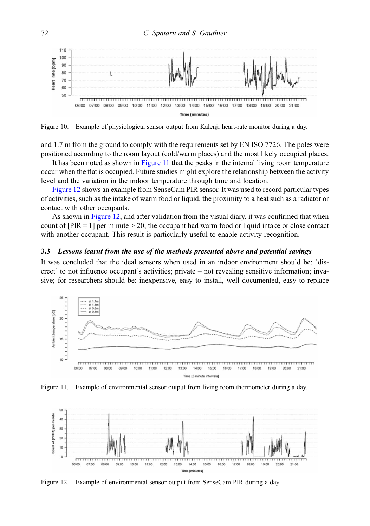<span id="page-12-0"></span>

Figure 10. Example of physiological sensor output from Kalenji heart-rate monitor during a day.

and 1.7 m from the ground to comply with the requirements set by EN ISO 7726. The poles were positioned according to the room layout (cold/warm places) and the most likely occupied places.

It has been noted as shown in Figure 11 that the peaks in the internal living room temperature occur when the flat is occupied. Future studies might explore the relationship between the activity level and the variation in the indoor temperature through time and location.

Figure 12 shows an example from SenseCam PIR sensor. It was used to record particular types of activities, such as the intake of warm food or liquid, the proximity to a heat such as a radiator or contact with other occupants.

As shown in Figure 12, and after validation from the visual diary, it was confirmed that when count of  $[PIR = 1]$  per minute  $> 20$ , the occupant had warm food or liquid intake or close contact with another occupant. This result is particularly useful to enable activity recognition.

#### 3.3 Lessons learnt from the use of the methods presented above and potential savings

It was concluded that the ideal sensors when used in an indoor environment should be: 'discreet' to not influence occupant's activities; private – not revealing sensitive information; invasive; for researchers should be: inexpensive, easy to install, well documented, easy to replace



Figure 11. Example of environmental sensor output from living room thermometer during a day.



Figure 12. Example of environmental sensor output from SenseCam PIR during a day.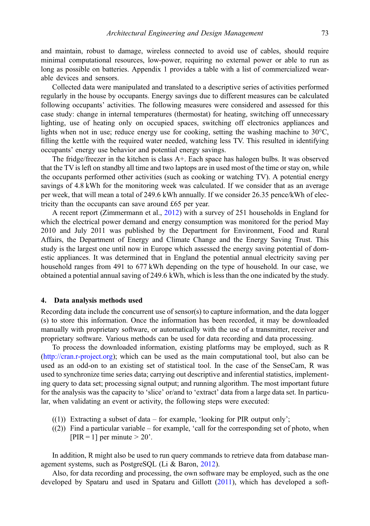and maintain, robust to damage, wireless connected to avoid use of cables, should require minimal computational resources, low-power, requiring no external power or able to run as long as possible on batteries. Appendix 1 provides a table with a list of commercialized wearable devices and sensors.

Collected data were manipulated and translated to a descriptive series of activities performed regularly in the house by occupants. Energy savings due to different measures can be calculated following occupants' activities. The following measures were considered and assessed for this case study: change in internal temperatures (thermostat) for heating, switching off unnecessary lighting, use of heating only on occupied spaces, switching off electronics appliances and lights when not in use; reduce energy use for cooking, setting the washing machine to 30°C, filling the kettle with the required water needed, watching less TV. This resulted in identifying occupants' energy use behavior and potential energy savings.

The fridge/freezer in the kitchen is class A+. Each space has halogen bulbs. It was observed that the TV is left on standby all time and two laptops are in used most of the time or stay on, while the occupants performed other activities (such as cooking or watching TV). A potential energy savings of 4.8 kWh for the monitoring week was calculated. If we consider that as an average per week, that will mean a total of 249.6 kWh annually. If we consider 26.35 pence/kWh of electricity than the occupants can save around £65 per year.

A recent report (Zimmermann et al., [2012](#page-16-0)) with a survey of 251 households in England for which the electrical power demand and energy consumption was monitored for the period May 2010 and July 2011 was published by the Department for Environment, Food and Rural Affairs, the Department of Energy and Climate Change and the Energy Saving Trust. This study is the largest one until now in Europe which assessed the energy saving potential of domestic appliances. It was determined that in England the potential annual electricity saving per household ranges from 491 to 677 kWh depending on the type of household. In our case, we obtained a potential annual saving of 249.6 kWh, which is less than the one indicated by the study.

### 4. Data analysis methods used

Recording data include the concurrent use of sensor(s) to capture information, and the data logger (s) to store this information. Once the information has been recorded, it may be downloaded manually with proprietary software, or automatically with the use of a transmitter, receiver and proprietary software. Various methods can be used for data recording and data processing.

To process the downloaded information, existing platforms may be employed, such as R (<http://cran.r-project.org>); which can be used as the main computational tool, but also can be used as an odd-on to an existing set of statistical tool. In the case of the SenseCam, R was used to synchronize time series data; carrying out descriptive and inferential statistics, implementing query to data set; processing signal output; and running algorithm. The most important future for the analysis was the capacity to 'slice' or/and to 'extract' data from a large data set. In particular, when validating an event or activity, the following steps were executed:

- $((1))$  Extracting a subset of data for example, 'looking for PIR output only';
- $((2))$  Find a particular variable for example, 'call for the corresponding set of photo, when  $[PIR = 1]$  per minute  $> 20$ .

In addition, R might also be used to run query commands to retrieve data from database management systems, such as PostgreSQL (Li & Baron, [2012\)](#page-16-0).

Also, for data recording and processing, the own software may be employed, such as the one developed by Spataru and used in Spataru and Gillott ([2011\)](#page-16-0), which has developed a soft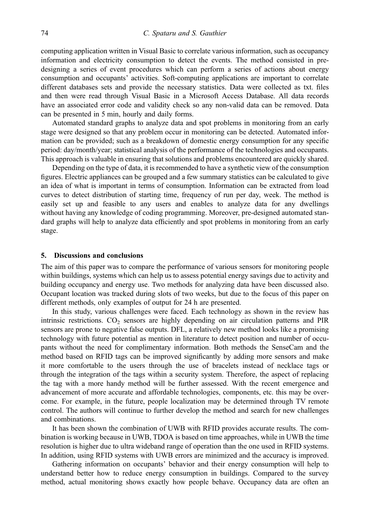computing application written in Visual Basic to correlate various information, such as occupancy information and electricity consumption to detect the events. The method consisted in predesigning a series of event procedures which can perform a series of actions about energy consumption and occupants' activities. Soft-computing applications are important to correlate different databases sets and provide the necessary statistics. Data were collected as txt. files and then were read through Visual Basic in a Microsoft Access Database. All data records have an associated error code and validity check so any non-valid data can be removed. Data can be presented in 5 min, hourly and daily forms.

Automated standard graphs to analyze data and spot problems in monitoring from an early stage were designed so that any problem occur in monitoring can be detected. Automated information can be provided; such as a breakdown of domestic energy consumption for any specific period: day/month/year; statistical analysis of the performance of the technologies and occupants. This approach is valuable in ensuring that solutions and problems encountered are quickly shared.

Depending on the type of data, it is recommended to have a synthetic view of the consumption figures. Electric appliances can be grouped and a few summary statistics can be calculated to give an idea of what is important in terms of consumption. Information can be extracted from load curves to detect distribution of starting time, frequency of run per day, week. The method is easily set up and feasible to any users and enables to analyze data for any dwellings without having any knowledge of coding programming. Moreover, pre-designed automated standard graphs will help to analyze data efficiently and spot problems in monitoring from an early stage.

#### 5. Discussions and conclusions

The aim of this paper was to compare the performance of various sensors for monitoring people within buildings, systems which can help us to assess potential energy savings due to activity and building occupancy and energy use. Two methods for analyzing data have been discussed also. Occupant location was tracked during slots of two weeks, but due to the focus of this paper on different methods, only examples of output for 24 h are presented.

In this study, various challenges were faced. Each technology as shown in the review has intrinsic restrictions.  $CO<sub>2</sub>$  sensors are highly depending on air circulation patterns and PIR sensors are prone to negative false outputs. DFL, a relatively new method looks like a promising technology with future potential as mention in literature to detect position and number of occupants without the need for complimentary information. Both methods the SenseCam and the method based on RFID tags can be improved significantly by adding more sensors and make it more comfortable to the users through the use of bracelets instead of necklace tags or through the integration of the tags within a security system. Therefore, the aspect of replacing the tag with a more handy method will be further assessed. With the recent emergence and advancement of more accurate and affordable technologies, components, etc. this may be overcome. For example, in the future, people localization may be determined through TV remote control. The authors will continue to further develop the method and search for new challenges and combinations.

It has been shown the combination of UWB with RFID provides accurate results. The combination is working because in UWB, TDOA is based on time approaches, while in UWB the time resolution is higher due to ultra wideband range of operation than the one used in RFID systems. In addition, using RFID systems with UWB errors are minimized and the accuracy is improved.

Gathering information on occupants' behavior and their energy consumption will help to understand better how to reduce energy consumption in buildings. Compared to the survey method, actual monitoring shows exactly how people behave. Occupancy data are often an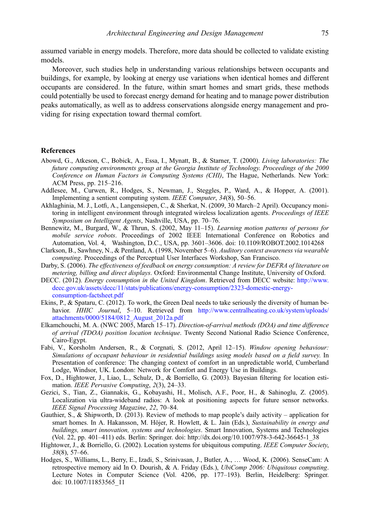<span id="page-15-0"></span>assumed variable in energy models. Therefore, more data should be collected to validate existing models.

Moreover, such studies help in understanding various relationships between occupants and buildings, for example, by looking at energy use variations when identical homes and different occupants are considered. In the future, within smart homes and smart grids, these methods could potentially be used to forecast energy demand for heating and to manage power distribution peaks automatically, as well as to address conservations alongside energy management and providing for rising expectation toward thermal comfort.

#### References

- Abowd, G., Atkeson, C., Bobick, A., Essa, I., Mynatt, B., & Starner, T. (2000). Living laboratories: The future computing environments group at the Georgia Institute of Technology. Proceedings of the 2000 Conference on Human Factors in Computing Systems (CHI), The Hague, Netherlands. New York: ACM Press, pp. 215–216.
- Addlesee, M., Curwen, R., Hodges, S., Newman, J., Steggles, P., Ward, A., & Hopper, A. (2001). Implementing a sentient computing system. IEEE Computer, 34(8), 50–56.
- Akhlaghinia, M. J., Lotfi, A., Langensiepen, C., & Sherkat, N. (2009, 30 March–2 April). Occupancy monitoring in intelligent environment through integrated wireless localization agents. Proceedings of IEEE Symposium on Intelligent Agents, Nashville, USA, pp. 70–76.
- Bennewitz, M., Burgard, W., & Thrun, S. (2002, May 11–15). Learning motion patterns of persons for mobile service robots. Proceedings of 2002 IEEE International Conference on Robotics and Automation, Vol. 4, Washington, D.C., USA, pp. 3601–3606. doi: 10.1109/ROBOT.2002.1014268
- Clarkson, B., Sawhney, N., & Pentland, A. (1998, November 5–6). Auditory context awareness via wearable computing. Proceedings of the Perceptual User Interfaces Workshop, San Francisco.
- Darby, S. (2006). The effectiveness of feedback on energy consumption: A review for DEFRA of literature on metering, billing and direct displays. Oxford: Environmental Change Institute, University of Oxford.
- DECC. (2012). Energy consumption in the United Kingdom. Retrieved from DECC website: [http://www.](http://www.decc.gov.uk/assets/decc/11/stats/publications/energy-consumption/2323-domestic-energy-consumption-factsheet.pdf) [decc.gov.uk/assets/decc/11/stats/publications/energy-consumption/2323-domestic-energy](http://www.decc.gov.uk/assets/decc/11/stats/publications/energy-consumption/2323-domestic-energy-consumption-factsheet.pdf)[consumption-factsheet.pdf](http://www.decc.gov.uk/assets/decc/11/stats/publications/energy-consumption/2323-domestic-energy-consumption-factsheet.pdf)
- Ekins, P., & Spataru, C. (2012). To work, the Green Deal needs to take seriously the diversity of human behavior. HHIC Journal, 5-10. Retrieved from [http://www.centralheating.co.uk/system/uploads/](http://www.centralheating.co.uk/system/uploads/attachments/0000/5184/0812_August_2012a.pdf) [attachments/0000/5184/0812\\_August\\_2012a.pdf](http://www.centralheating.co.uk/system/uploads/attachments/0000/5184/0812_August_2012a.pdf)
- Elkamchouchi, M. A. (NWC 2005, March 15–17). Direction-of-arrival methods (DOA) and time difference of arrival (TDOA) position location technique. Twenty Second National Radio Science Conference, Cairo-Egypt.
- Fabi, V., Korsholm Andersen, R., & Corgnati, S. (2012, April 12–15). Window opening behaviour: Simulations of occupant behaviour in residential buildings using models based on a field survey. In Presentation of conference: The changing context of comfort in an unpredictable world, Cumberland Lodge, Windsor, UK. London: Network for Comfort and Energy Use in Buildings.
- Fox, D., Hightower, J., Liao, L., Schulz, D., & Borriello, G. (2003). Bayesian filtering for location estimation. IEEE Pervasive Computing, 2(3), 24–33.
- Gezici, S., Tian, Z., Giannakis, G., Kobayashi, H., Molisch, A.F., Poor, H., & Sahinoglu, Z. (2005). Localization via ultra-wideband radios: A look at positioning aspects for future sensor networks. IEEE Signal Processing Magazine, 22, 70–84.
- Gauthier, S., & Shipworth, D. (2013). Review of methods to map people's daily activity application for smart homes. In A. Hakansson, M. Höjer, R. Howlett, & L. Jain (Eds.), Sustainability in energy and buildings, smart innovation, systems and technologies. Smart Innovation, Systems and Technologies (Vol. 22, pp. 401–411) eds. Berlin: Springer. doi: http://dx.doi.org/10.1007/978-3-642-36645-1\_38
- Hightower, J., & Borriello, G. (2002). Location systems for ubiquitous computing. IEEE Computer Society, 38(8), 57–66.
- Hodges, S., Williams, L., Berry, E., Izadi, S., Srinivasan, J., Butler, A., … Wood, K. (2006). SenseCam: A retrospective memory aid In O. Dourish, & A. Friday (Eds.), UbiComp 2006: Ubiquitous computing. Lecture Notes in Computer Science (Vol. 4206, pp. 177–193). Berlin, Heidelberg: Springer. doi: 10.1007/11853565\_11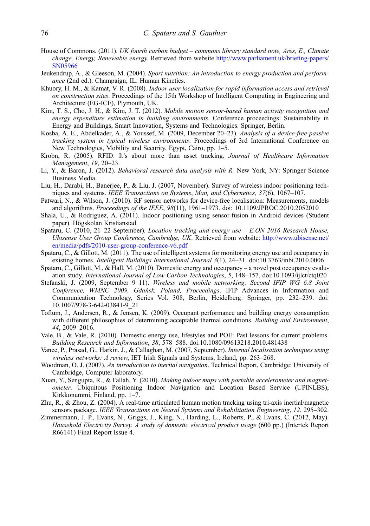- <span id="page-16-0"></span>House of Commons. (2011). UK fourth carbon budget – commons library standard note, Ares, E., Climate change, Energy, Renewable energy. Retrieved from website [http://www.parliament.uk/brie](http://www.parliament.uk/briefing-papers/SN05966)fing-papers/ [SN05966](http://www.parliament.uk/briefing-papers/SN05966)
- Jeukendrup, A., & Gleeson, M. (2004). Sport nutrition: An introduction to energy production and performance (2nd ed.). Champaign, IL: Human Kinetics.
- Khuory, H. M., & Kamat, V. R. (2008). Indoor user localization for rapid information access and retrieval on construction sites. Proceedings of the 15th Workshop of Intelligent Computing in Engineering and Architecture (EG-ICE), Plymouth, UK.
- Kim, T. S., Cho, J. H., & Kim, J. T. (2012). Mobile motion sensor-based human activity recognition and energy expenditure estimation in building environments. Conference proceedings: Sustainability in Energy and Buildings, Smart Innovation, Systems and Technologies. Springer, Berlin.
- Kosba, A. E., Abdelkader, A., & Youssef, M. (2009, December 20–23). Analysis of a device-free passive tracking system in typical wireless environments. Proceedings of 3rd International Conference on New Technologies, Mobility and Security, Egypt, Cairo, pp. 1–5.
- Krobn, R. (2005). RFID: It's about more than asset tracking. Journal of Healthcare Information Management, 19, 20–23.
- Li, Y., & Baron, J. (2012). Behavioral research data analysis with R. New York, NY: Springer Science Business Media.
- Liu, H., Darabi, H., Banerjee, P., & Liu, J. (2007, November). Survey of wireless indoor positioning techniques and systems. IEEE Transactions on Systems, Man, and Cybernetics, 37(6), 1067–107.
- Patwari, N., & Wilson, J. (2010). RF sensor networks for device-free localisation: Measurements, models and algorithms. Proceedings of the IEEE, 98(11), 1961–1973. doi: 10.1109/JPROC.2010.2052010
- Shala, U., & Rodriguez, A. (2011). Indoor positioning using sensor-fusion in Android devices (Student paper). Högskolan Kristianstad.
- Spataru, C. (2010, 21-22 September). Location tracking and energy use E.ON 2016 Research House, Ubisense User Group Conference, Cambridge, UK. Retrieved from website: [http://www.ubisense.net/](http://www.ubisense.net/en/media/pdfs/2010-user-group-conference-v6.pdf) [en/media/pdfs/2010-user-group-conference-v6.pdf](http://www.ubisense.net/en/media/pdfs/2010-user-group-conference-v6.pdf)
- Spataru, C., & Gillott, M. (2011). The use of intelligent systems for monitoring energy use and occupancy in existing homes. Intelligent Buildings International Journal 3(1), 24–31. doi:10.3763/inbi.2010.0006
- Spataru, C., Gillott, M., & Hall, M. (2010). Domestic energy and occupancy a novel post occupancy evaluation study. International Journal of Low-Carbon Technologies, 5, 148–157, doi:10.1093/ijlct/ctq020
- Stefanski, J. (2009, September 9–11). Wireless and mobile networking: Second IFIP WG 6.8 Joint Conference, WMNC 2009, Gdańsk, Poland, Proceedings. IFIP Advances in Information and Communication Technology, Series Vol. 308, Berlin, Heidelberg: Springer, pp. 232–239. doi: 10.1007/978-3-642-03841-9\_21
- Toftum, J., Andersen, R., & Jensen, K. (2009). Occupant performance and building energy consumption with different philosophies of determining acceptable thermal conditions. Building and Environment, 44, 2009–2016.
- Vale, B., & Vale, R. (2010). Domestic energy use, lifestyles and POE: Past lessons for current problems. Building Research and Information, 38, 578–588. doi:10.1080/09613218.2010.481438
- Vance, P., Prasad, G., Harkin, J., & Callaghan, M. (2007, September). Internal localisation techniques using wireless networks: A review, IET Irish Signals and Systems, Ireland, pp. 263-268.
- Woodman, O. J. (2007). An introduction to inertial navigation. Technical Report, Cambridge: University of Cambridge, Computer laboratory.
- Xuan, Y., Sengupta, R., & Fallah, Y. (2010). Making indoor maps with portable accelerometer and magnetometer. Ubiquitous Positioning Indoor Navigation and Location Based Service (UPINLBS), Kirkkonummi, Finland, pp. 1–7.
- Zhu, R., & Zhou, Z. (2004). A real-time articulated human motion tracking using tri-axis inertial/magnetic sensors package. IEEE Transactions on Neural Systems and Rehabilitation Engineering, 12, 295–302.
- Zimmermann, J. P., Evans, N., Griggs, J., King, N., Harding, L., Roberts, P., & Evans, C. (2012, May). Household Electricity Survey. A study of domestic electrical product usage (600 pp.) (Intertek Report R66141) Final Report Issue 4.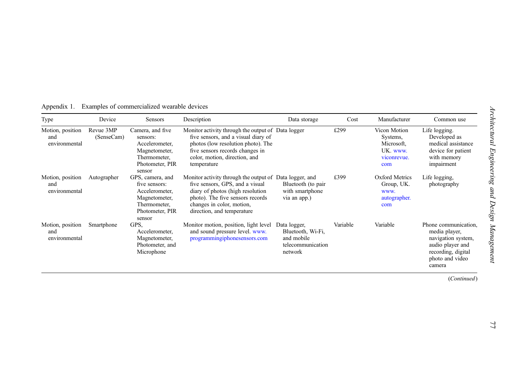| Type                                     | Device                  | <b>Sensors</b>                                                                                                    | Description                                                                                                                                                                                                                   | Data storage                                                                    | Cost     | Manufacturer                                                             | Common use                                                                                                                         |
|------------------------------------------|-------------------------|-------------------------------------------------------------------------------------------------------------------|-------------------------------------------------------------------------------------------------------------------------------------------------------------------------------------------------------------------------------|---------------------------------------------------------------------------------|----------|--------------------------------------------------------------------------|------------------------------------------------------------------------------------------------------------------------------------|
| Motion, position<br>and<br>environmental | Revue 3MP<br>(SenseCam) | Camera, and five<br>sensors:<br>Accelerometer,<br>Magnetometer,<br>Thermometer,<br>Photometer, PIR<br>sensor      | Monitor activity through the output of Data logger<br>five sensors, and a visual diary of<br>photos (low resolution photo). The<br>five sensors records changes in<br>color, motion, direction, and<br>temperature            |                                                                                 | £299     | Vicon Motion<br>Systems,<br>Microsoft,<br>UK. www.<br>viconrevue.<br>com | Life logging.<br>Developed as<br>medical assistance<br>device for patient<br>with memory<br>impairment                             |
| Motion, position<br>and<br>environmental | Autographer             | GPS, camera, and<br>five sensors:<br>Accelerometer,<br>Magnetometer,<br>Thermometer,<br>Photometer, PIR<br>sensor | Monitor activity through the output of Data logger, and<br>five sensors, GPS, and a visual<br>diary of photos (high resolution<br>photo). The five sensors records<br>changes in color, motion,<br>direction, and temperature | Bluetooth (to pair<br>with smartphone<br>via an app.)                           | £399     | Oxford Metrics<br>Group, UK.<br>www.<br>autographer.<br>com              | Life logging,<br>photography                                                                                                       |
| Motion, position<br>and<br>environmental | Smartphone              | GPS,<br>Accelerometer,<br>Magnetometer,<br>Photometer, and<br>Microphone                                          | Monitor motion, position, light level<br>and sound pressure level. www.<br>programmingiphonesensors.com                                                                                                                       | Data logger,<br>Bluetooth, Wi-Fi,<br>and mobile<br>telecommunication<br>network | Variable | Variable                                                                 | Phone communication,<br>media player,<br>navigation system,<br>audio player and<br>recording, digital<br>photo and video<br>camera |

Appendix 1. Examples of commercialized wearable devices

(Continued)